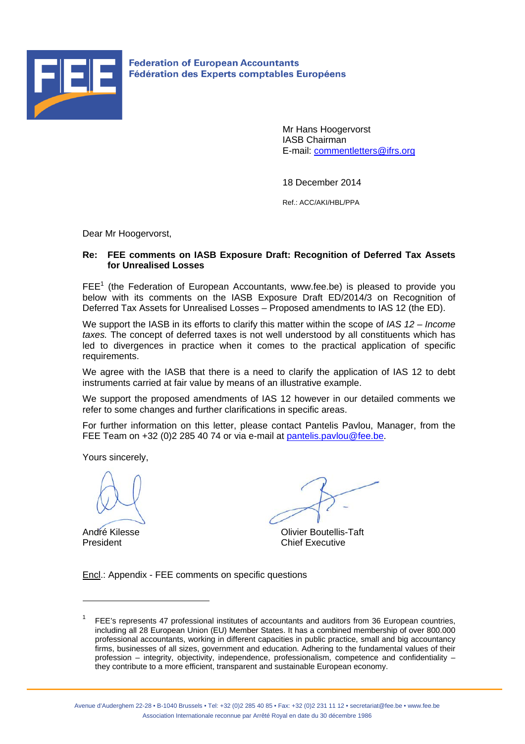

**Federation of European Accountants** Fédération des Experts comptables Européens

> Mr Hans Hoogervorst IASB Chairman E-mail: commentletters@ifrs.org

18 December 2014

Ref.: ACC/AKI/HBL/PPA

Dear Mr Hoogervorst,

# **Re: FEE comments on IASB Exposure Draft: Recognition of Deferred Tax Assets for Unrealised Losses**

 $FEE<sup>1</sup>$  (the Federation of European Accountants, www.fee.be) is pleased to provide you below with its comments on the IASB Exposure Draft ED/2014/3 on Recognition of Deferred Tax Assets for Unrealised Losses – Proposed amendments to IAS 12 (the ED).

We support the IASB in its efforts to clarify this matter within the scope of *IAS 12 – Income taxes*. The concept of deferred taxes is not well understood by all constituents which has led to divergences in practice when it comes to the practical application of specific requirements.

We agree with the IASB that there is a need to clarify the application of IAS 12 to debt instruments carried at fair value by means of an illustrative example.

We support the proposed amendments of IAS 12 however in our detailed comments we refer to some changes and further clarifications in specific areas.

For further information on this letter, please contact Pantelis Pavlou, Manager, from the FEE Team on +32 (0)2 285 40 74 or via e-mail at pantelis.pavlou@fee.be.

Yours sincerely,

 $\overline{a}$ 

André Kilesse **Olivier Boutellis-Taft** President **Chief Executive** 

Encl.: Appendix - FEE comments on specific questions

<sup>1</sup> FEE's represents 47 professional institutes of accountants and auditors from 36 European countries, including all 28 European Union (EU) Member States. It has a combined membership of over 800.000 professional accountants, working in different capacities in public practice, small and big accountancy firms, businesses of all sizes, government and education. Adhering to the fundamental values of their profession – integrity, objectivity, independence, professionalism, competence and confidentiality – they contribute to a more efficient, transparent and sustainable European economy.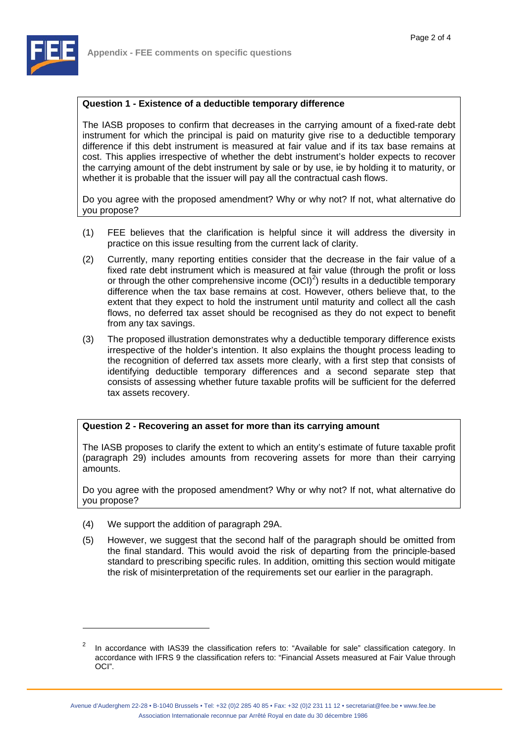

The IASB proposes to confirm that decreases in the carrying amount of a fixed-rate debt instrument for which the principal is paid on maturity give rise to a deductible temporary difference if this debt instrument is measured at fair value and if its tax base remains at cost. This applies irrespective of whether the debt instrument's holder expects to recover the carrying amount of the debt instrument by sale or by use, ie by holding it to maturity, or whether it is probable that the issuer will pay all the contractual cash flows.

Do you agree with the proposed amendment? Why or why not? If not, what alternative do you propose?

- (1) FEE believes that the clarification is helpful since it will address the diversity in practice on this issue resulting from the current lack of clarity.
- (2) Currently, many reporting entities consider that the decrease in the fair value of a fixed rate debt instrument which is measured at fair value (through the profit or loss or through the other comprehensive income  $(OCl)^2$ ) results in a deductible temporary difference when the tax base remains at cost. However, others believe that, to the extent that they expect to hold the instrument until maturity and collect all the cash flows, no deferred tax asset should be recognised as they do not expect to benefit from any tax savings.
- (3) The proposed illustration demonstrates why a deductible temporary difference exists irrespective of the holder's intention. It also explains the thought process leading to the recognition of deferred tax assets more clearly, with a first step that consists of identifying deductible temporary differences and a second separate step that consists of assessing whether future taxable profits will be sufficient for the deferred tax assets recovery.

# **Question 2 - Recovering an asset for more than its carrying amount**

The IASB proposes to clarify the extent to which an entity's estimate of future taxable profit (paragraph 29) includes amounts from recovering assets for more than their carrying amounts.

Do you agree with the proposed amendment? Why or why not? If not, what alternative do you propose?

(4) We support the addition of paragraph 29A.

 $\overline{a}$ 

(5) However, we suggest that the second half of the paragraph should be omitted from the final standard. This would avoid the risk of departing from the principle-based standard to prescribing specific rules. In addition, omitting this section would mitigate the risk of misinterpretation of the requirements set our earlier in the paragraph.

<sup>2</sup> In accordance with IAS39 the classification refers to: "Available for sale" classification category. In accordance with IFRS 9 the classification refers to: "Financial Assets measured at Fair Value through OCI".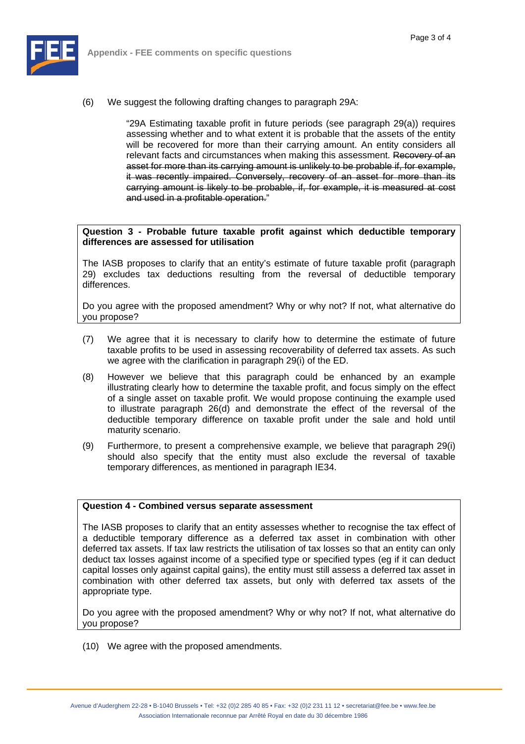

(6) We suggest the following drafting changes to paragraph 29A:

"29A Estimating taxable profit in future periods (see paragraph 29(a)) requires assessing whether and to what extent it is probable that the assets of the entity will be recovered for more than their carrying amount. An entity considers all relevant facts and circumstances when making this assessment. Recovery of an asset for more than its carrying amount is unlikely to be probable if, for example, it was recently impaired. Conversely, recovery of an asset for more than its carrying amount is likely to be probable, if, for example, it is measured at cost and used in a profitable operation."

### **Question 3 - Probable future taxable profit against which deductible temporary differences are assessed for utilisation**

The IASB proposes to clarify that an entity's estimate of future taxable profit (paragraph 29) excludes tax deductions resulting from the reversal of deductible temporary differences.

Do you agree with the proposed amendment? Why or why not? If not, what alternative do you propose?

- (7) We agree that it is necessary to clarify how to determine the estimate of future taxable profits to be used in assessing recoverability of deferred tax assets. As such we agree with the clarification in paragraph 29(i) of the ED.
- (8) However we believe that this paragraph could be enhanced by an example illustrating clearly how to determine the taxable profit, and focus simply on the effect of a single asset on taxable profit. We would propose continuing the example used to illustrate paragraph 26(d) and demonstrate the effect of the reversal of the deductible temporary difference on taxable profit under the sale and hold until maturity scenario.
- (9) Furthermore, to present a comprehensive example, we believe that paragraph 29(i) should also specify that the entity must also exclude the reversal of taxable temporary differences, as mentioned in paragraph IE34.

#### **Question 4 - Combined versus separate assessment**

The IASB proposes to clarify that an entity assesses whether to recognise the tax effect of a deductible temporary difference as a deferred tax asset in combination with other deferred tax assets. If tax law restricts the utilisation of tax losses so that an entity can only deduct tax losses against income of a specified type or specified types (eg if it can deduct capital losses only against capital gains), the entity must still assess a deferred tax asset in combination with other deferred tax assets, but only with deferred tax assets of the appropriate type.

Do you agree with the proposed amendment? Why or why not? If not, what alternative do you propose?

(10) We agree with the proposed amendments.